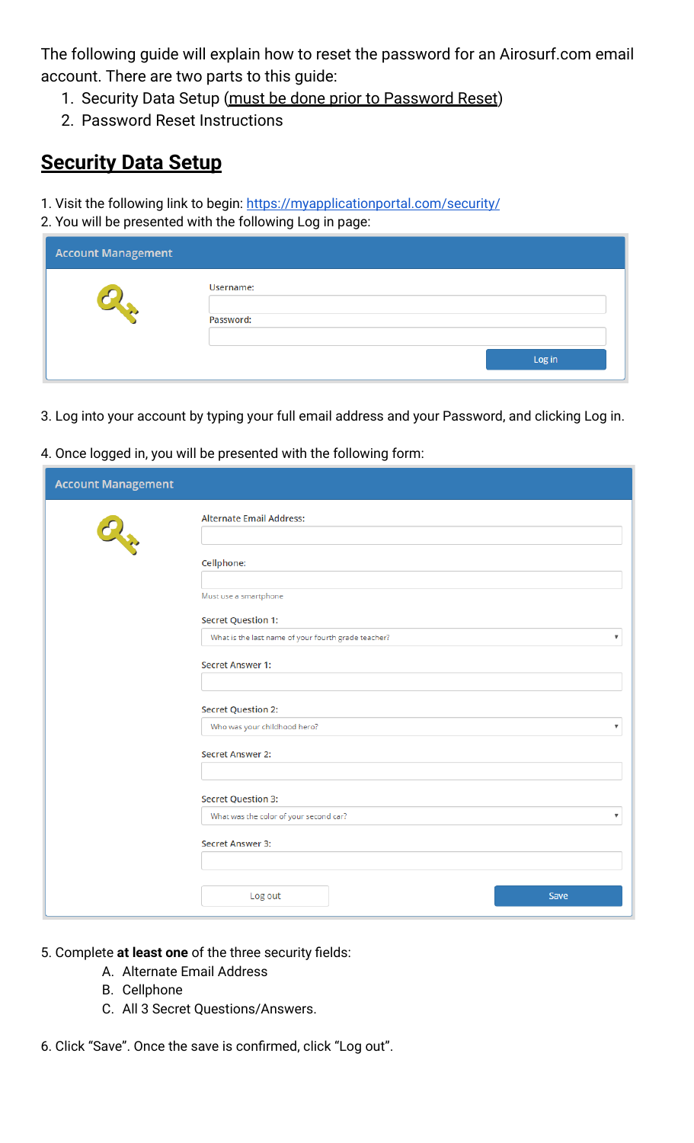The following guide will explain how to reset the password for an Airosurf.com email account. There are two parts to this guide:

- 1. Security Data Setup (must be done prior to Password Reset)
- 2. Password Reset Instructions

## **Security Data Setup**

- 1. Visit the following link to begin: <https://myapplicationportal.com/security/>
- 2. You will be presented with the following Log in page:

| <b>Account Management</b> |           |  |
|---------------------------|-----------|--|
|                           | Username: |  |
| <b>TAX</b>                | Password: |  |
|                           | Log in    |  |

- 3. Log into your account by typing your full email address and your Password, and clicking Log in.
- 4. Once logged in, you will be presented with the following form:

| <b>Account Management</b> |                                                                                                |
|---------------------------|------------------------------------------------------------------------------------------------|
|                           | <b>Alternate Email Address:</b>                                                                |
| <b>CALL</b>               | Cellphone:                                                                                     |
|                           | Must use a smartphone                                                                          |
|                           | <b>Secret Question 1:</b>                                                                      |
|                           | What is the last name of your fourth grade teacher?<br>$\blacksquare$                          |
|                           | Secret Answer 1:                                                                               |
|                           | <b>Secret Question 2:</b>                                                                      |
|                           | Who was your childhood hero?<br>$\boldsymbol{\mathrm{v}}$                                      |
|                           | <b>Secret Answer 2:</b>                                                                        |
|                           |                                                                                                |
|                           | <b>Secret Question 3:</b><br>What was the color of your second car?<br>$\overline{\mathbf{v}}$ |
|                           |                                                                                                |
|                           | Secret Answer 3:                                                                               |
|                           |                                                                                                |
|                           | Log out<br>Save                                                                                |

- 5. Complete **at least one** of the three security fields:
	- A. Alternate Email Address
		- B. Cellphone
		- C. All 3 Secret Questions/Answers.

6. Click "Save". Once the save is confirmed, click "Log out".